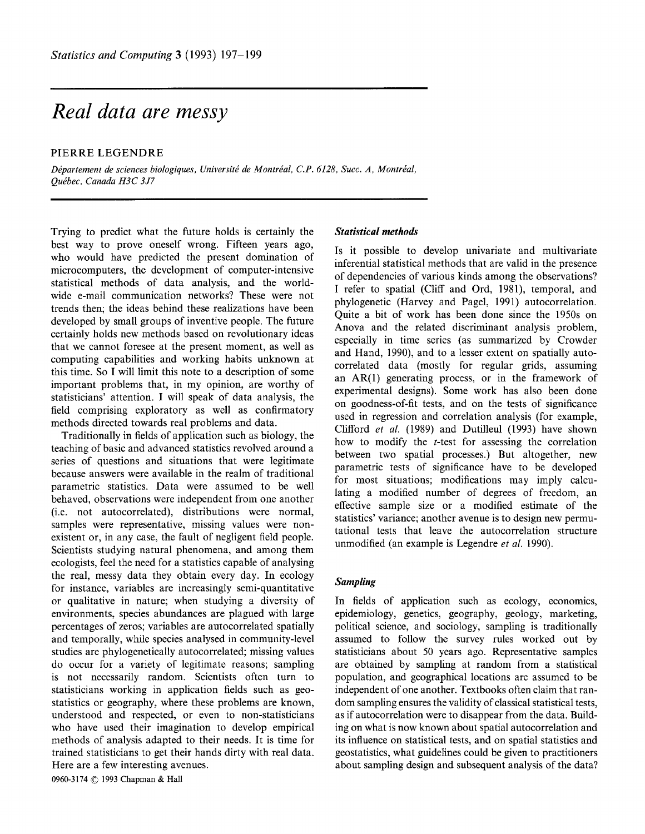# *Real data are messy*

# **PIERRE LEGENDRE**

*D~partement de sciences biologiques, Universit6 de Montreal, C.P. 6128, Suee. A, Montreal, Quebec, Canada H3C 3J7* 

Trying to predict what the future holds is certainly the best way to prove oneself wrong. Fifteen years ago, who would have predicted the present domination of microcomputers, the development of computer-intensive statistical methods of data analysis, and the worldwide e-mail communication networks? These were not trends then; the ideas behind these realizations have been developed by small groups of inventive people. The future certainly holds new methods based on revolutionary ideas that we cannot foresee at the present moment, as well as computing capabilities and working habits unknown at this time. So I will limit this note to a description of some important problems that, in my opinion, are worthy of statisticians' attention. I will speak of data analysis, the field comprising exploratory as well as confirmatory methods directed towards real problems and data.

Traditionally in fields of application such as biology, the teaching of basic and advanced statistics revolved around a series of questions and situations that were legitimate because answers were available in the realm of traditional parametric statistics. Data were assumed to be well behaved, observations were independent from one another (i.e. not autocorrelated), distributions were normal, samples were representative, missing values were nonexistent or, in any case, the fault of negligent field people. Scientists studying natural phenomena, and among them ecologists, feel the need for a statistics capable of analysing the real, messy data they obtain every day. In ecology for instance, variables are increasingly semi-quantitative or qualitative in nature; when studying a diversity of environments, species abundances are plagued with large percentages of zeros; variables are autocorrelated spatially and temporally, while species analysed in community-level studies are phylogenetically autocorrelated; missing values do occur for a variety of legitimate reasons; sampling is not necessarily random. Scientists often turn to statisticians working in application fields such as geostatistics or geography, where these problems are known, understood and respected, or even to non-statisticians who have used their imagination to develop empirical methods of analysis adapted to their needs. It is time for trained statisticians to get their hands dirty with real data. Here are a few interesting avenues.

0960-3174 © 1993 Chapman & Hall

# *Statistical methods*

Is it possible to develop univariate and multivariate inferential statistical methods that are valid in the presence of dependencies of various kinds among the observations? I refer to spatial (Cliff and Ord, 1980, temporal, and phylogenetic (Harvey and Pagel, 1991) autocorrelation. Quite a bit of work has been done since the 1950s on Anova and the related discriminant analysis problem, especially in time series (as summarized by Crowder and Hand, 1990), and to a lesser extent on spatially autocorrelated data (mostly for regular grids, assuming an AR(1) generating process, or in the framework of experimental designs). Some work has also been done on goodness-of-fit tests, and on the tests of significance used in regression and correlation analysis (for example, Clifford *et al.* (1989) and Dutilleul (1993) have shown how to modify the  $t$ -test for assessing the correlation between two spatial processes.) But altogether, new parametric tests of significance have to be developed for most situations; modifications may imply calculating a modified number of degrees of freedom, an effective sample size or a modified estimate of the statistics' variance; another avenue is to design new permutational tests that leave the autocorrelation structure unmodified (an example is Legendre *et al.* 1990).

# *Sampling*

In fields of application such as ecology, economics, epidemiology, genetics, geography, geology, marketing, political science, and sociology, sampling is traditionally assumed to follow the survey rules worked out by statisticians about 50 years ago. Representative samples are obtained by sampling at random from a statistical population, and geographical locations are assumed to be independent of one another. Textbooks often claim that random sampling ensures the validity of classical statistical tests, as if autocorrelation were to disappear from the data. Building on what is now known about spatial autocorrelation and its influence on statistical tests, and on spatial statistics and geostatistics, what guidelines could be given to practitioners about sampling design and subsequent analysis of the data?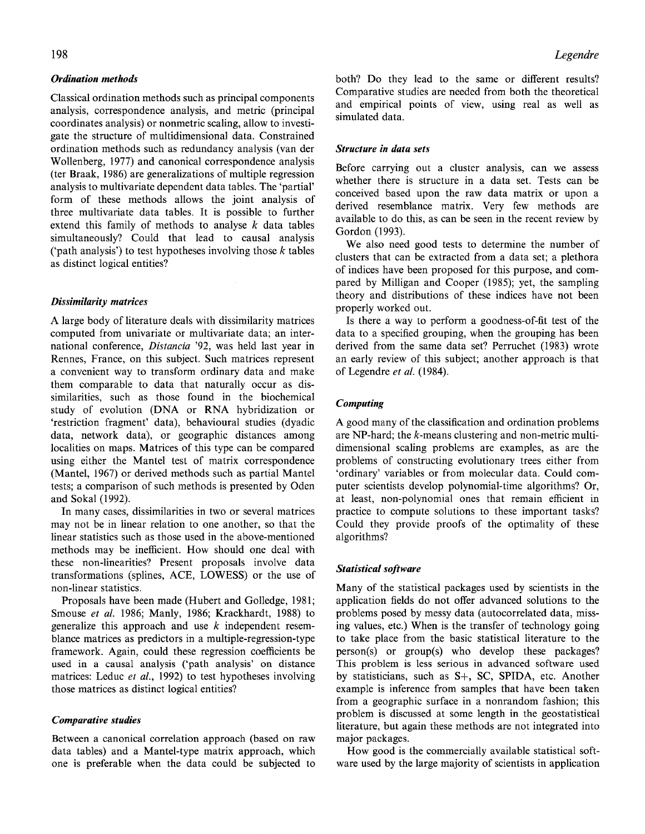#### *Ordination methods*

Classical ordination methods such as principal components analysis, correspondence analysis, and metric (principal coordinates analysis) or nonmetric scaling, allow to investigate the structure of multidimensional data. Constrained ordination methods such as redundancy analysis (van der Wollenberg, 1977) and canonical correspondence analysis (ter Braak, 1986) are generalizations of multiple regression analysis to multivariate dependent data tables. The 'partial' form of these methods allows the joint analysis of three multivariate data tables. It is possible to further extend this family of methods to analyse  $k$  data tables simultaneously? Could that lead to causal analysis ('path analysis') to test hypotheses involving those  $k$  tables as distinct logical entities?

# *Dissimilarity matrices*

A large body of literature deals with dissimilarity matrices computed from univariate or multivariate data; an international conference, *Distancia* '92, was held last year in Rennes, France, on this subject. Such matrices represent a convenient way to transform ordinary data and make them comparable to data that naturally occur as dissimilarities, such as those found in the biochemical study of evolution (DNA or RNA hybridization or 'restriction fragment' data), behavioural studies (dyadic data, network data), or geographic distances among localities on maps. Matrices of this type can be compared using either the Mantel test of matrix correspondence (Mantel, 1967) or derived methods such as partial Mantel tests; a comparison of such methods is presented by Oden and Sokal (1992).

In many cases, dissimilarities in two or several matrices may not be in linear relation to one another, so that the linear statistics such as those used in the above-mentioned methods may be inefficient. How should one deal with these non-linearities? Present proposals involve data transformations (splines, ACE, LOWESS) or the use of non-linear statistics.

Proposals have been made (Hubert and Golledge, 1981; Smouse *et al.* 1986; Manly, 1986; Krackhardt, 1988) to generalize this approach and use  $k$  independent resemblance matrices as predictors in a multiple-regression-type framework. Again, could these regression coefficients be used in a causal analysis ('path analysis' on distance matrices: Leduc *et al.,* 1992) to test hypotheses involving those matrices as distinct logical entities?

#### *Comparative studies*

Between a canonical correlation approach (based on raw data tables) and a Mantel-type matrix approach, which one is preferable when the data could be subjected to both? Do they lead to the same or different results? Comparative studies are needed from both the theoretical and empirical points of view, using real as well as simulated data.

#### *Structure in data sets*

Before carrying out a cluster analysis, can we assess whether there is structure in a data set. Tests can be conceived based upon the raw data matrix or upon a derived resemblance matrix. Very few methods are available to do this, as can be seen in the recent review by Gordon (1993).

We also need good tests to determine the number of clusters that can be extracted from a data set; a plethora of indices have been proposed for this purpose, and compared by Milligan and Cooper (1985); yet, the sampling theory and distributions of these indices have not been properly worked out.

Is there a way to perform a goodness-of-fit test of the data to a specified grouping, when the grouping has been derived from the same data set? Perruchet (1983) wrote an early review of this subject; another approach is that of Legendre *et al.* (1984).

# *Computing*

A good many of the classification and ordination problems are NP-hard; the k-means clustering and non-metric multidimensional scaling problems are examples, as are the problems of constructing evolutionary trees either from 'ordinary' variables or from molecular data. Could computer scientists develop polynomial-time algorithms? Or, at least, non-polynomial ones that remain efficient in practice to compute solutions to these important tasks? Could they provide proofs of the optimality of these algorithms?

# *Statistical software*

Many of the statistical packages used by scientists in the application fields do not offer advanced solutions to the problems posed by messy data (autocorrelated data, missing values, etc.) When is the transfer of technology going to take place from the basic statistical literature to the person(s) or group(s) who develop these packages? This problem is less serious in advanced software used by statisticians, such as S+, SC, SPIDA, etc. Another example is inference from samples that have been taken from a geographic surface in a nonrandom fashion; this problem is discussed at some length in the geostatistical literature, but again these methods are not integrated into major packages.

How good is the commercially available statistical software used by the large majority of scientists in application